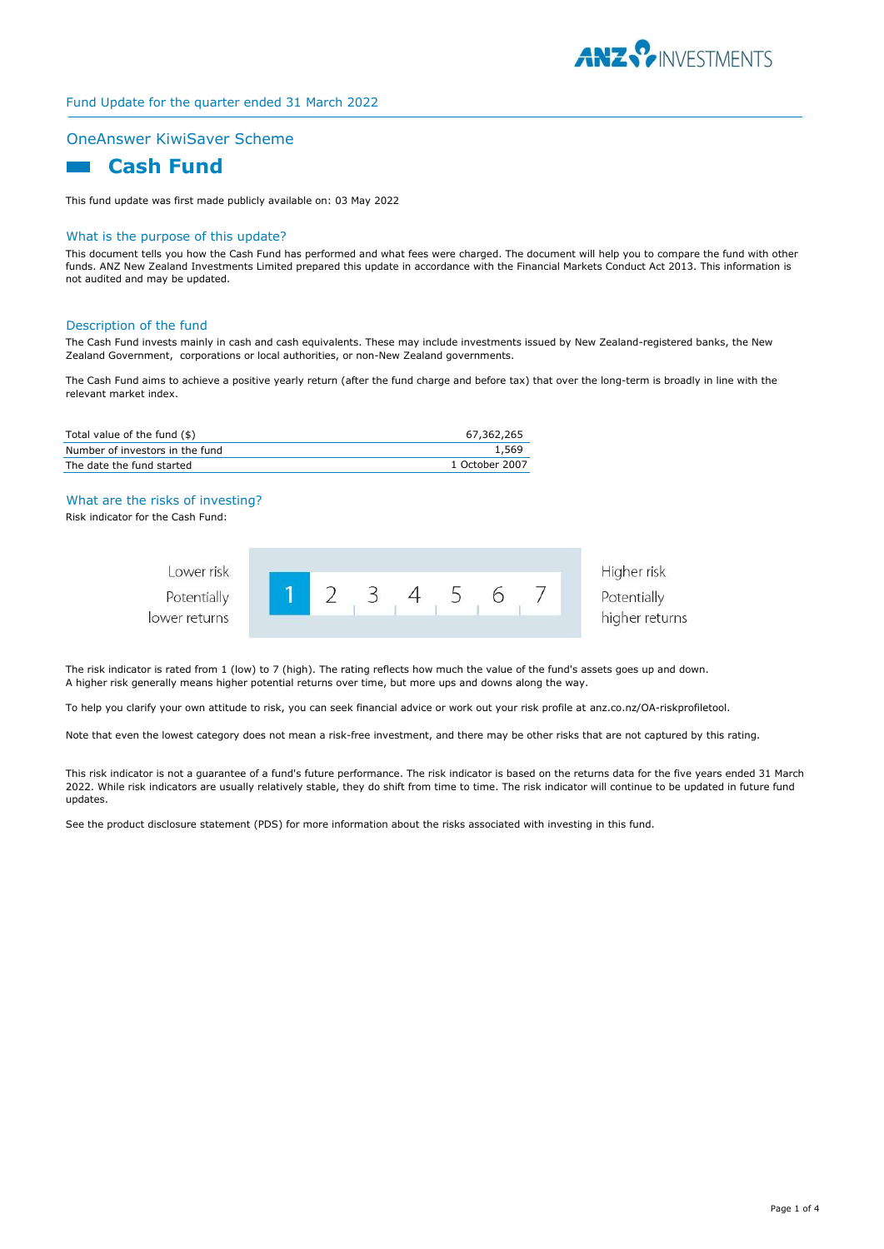

# Fund Update for the quarter ended 31 March 2022

### OneAnswer KiwiSaver Scheme

# **Cash Fund**

This fund update was first made publicly available on: 03 May 2022

#### What is the purpose of this update?

This document tells you how the Cash Fund has performed and what fees were charged. The document will help you to compare the fund with other funds. ANZ New Zealand Investments Limited prepared this update in accordance with the Financial Markets Conduct Act 2013. This information is not audited and may be updated.

#### Description of the fund

The Cash Fund invests mainly in cash and cash equivalents. These may include investments issued by New Zealand-registered banks, the New Zealand Government, corporations or local authorities, or non-New Zealand governments.

The Cash Fund aims to achieve a positive yearly return (after the fund charge and before tax) that over the long-term is broadly in line with the relevant market index.

| Total value of the fund (\$)    | 67.362.265     |
|---------------------------------|----------------|
| Number of investors in the fund | 1,569          |
| The date the fund started       | 1 October 2007 |

#### What are the risks of investing?

Risk indicator for the Cash Fund:

 $|0\rangle$ 

| Lower risk<br>Potentially |  | <b>CRA</b> |  |  |  |
|---------------------------|--|------------|--|--|--|
| wer returns               |  |            |  |  |  |

| Higher risk    |
|----------------|
| Potentially    |
| higher returns |

The risk indicator is rated from 1 (low) to 7 (high). The rating reflects how much the value of the fund's assets goes up and down. A higher risk generally means higher potential returns over time, but more ups and downs along the way.

To help you clarify your own attitude to risk, you can seek financial advice or work out your risk profile at anz.co.nz/OA-riskprofiletool.

Note that even the lowest category does not mean a risk-free investment, and there may be other risks that are not captured by this rating.

This risk indicator is not a guarantee of a fund's future performance. The risk indicator is based on the returns data for the five years ended 31 March 2022. While risk indicators are usually relatively stable, they do shift from time to time. The risk indicator will continue to be updated in future fund updates.

See the product disclosure statement (PDS) for more information about the risks associated with investing in this fund.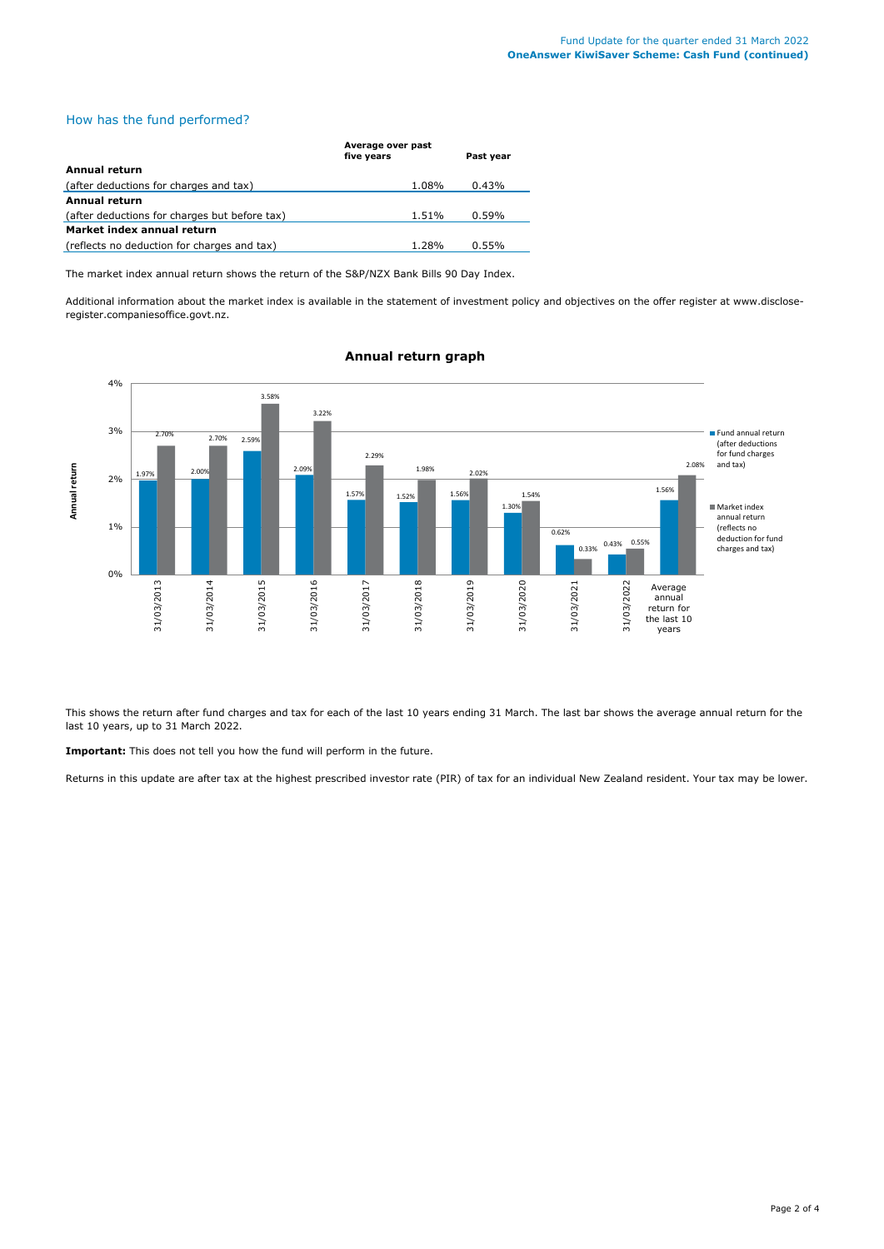# How has the fund performed?

|                                               | Average over past<br>five years | Past year |  |
|-----------------------------------------------|---------------------------------|-----------|--|
| Annual return                                 |                                 |           |  |
| (after deductions for charges and tax)        | 1.08%                           | 0.43%     |  |
| Annual return                                 |                                 |           |  |
| (after deductions for charges but before tax) | 1.51%                           | 0.59%     |  |
| Market index annual return                    |                                 |           |  |
| (reflects no deduction for charges and tax)   | 1.28%                           | 0.55%     |  |

The market index annual return shows the return of the S&P/NZX Bank Bills 90 Day Index.

Additional information about the market index is available in the statement of investment policy and objectives on the offer register at www.discloseregister.companiesoffice.govt.nz.



## **Annual return graph**

This shows the return after fund charges and tax for each of the last 10 years ending 31 March. The last bar shows the average annual return for the last 10 years, up to 31 March 2022.

**Important:** This does not tell you how the fund will perform in the future.

Returns in this update are after tax at the highest prescribed investor rate (PIR) of tax for an individual New Zealand resident. Your tax may be lower.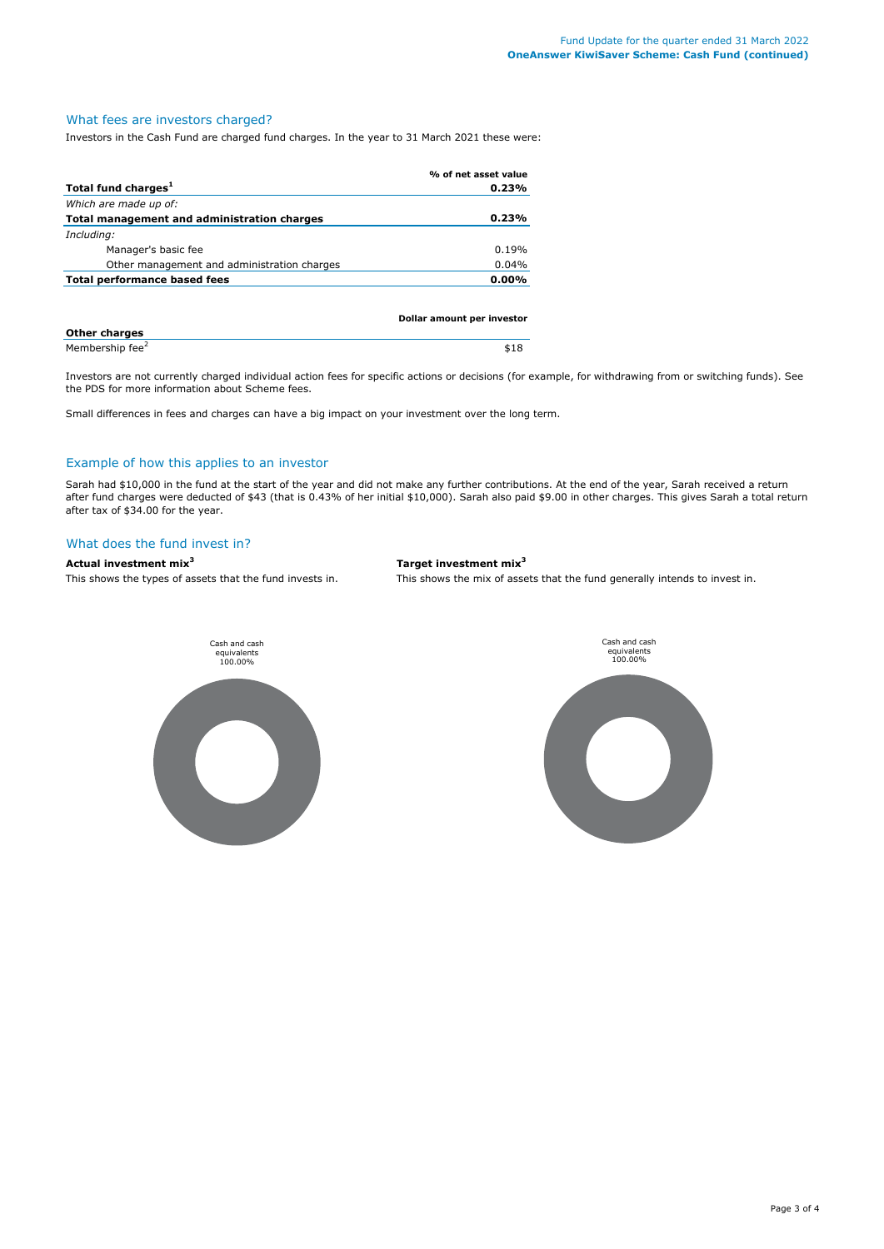### What fees are investors charged?

Investors in the Cash Fund are charged fund charges. In the year to 31 March 2021 these were:

|                                             | % of net asset value       |
|---------------------------------------------|----------------------------|
| Total fund charges <sup>1</sup>             | 0.23%                      |
| Which are made up of:                       |                            |
| Total management and administration charges | 0.23%                      |
| Including:                                  |                            |
| Manager's basic fee                         | 0.19%                      |
| Other management and administration charges | 0.04%                      |
| Total performance based fees                | $0.00\%$                   |
|                                             |                            |
|                                             |                            |
|                                             | Dollar amount per investor |
| <b>Other charges</b>                        |                            |

Membership fee<sup>2</sup>

Investors are not currently charged individual action fees for specific actions or decisions (for example, for withdrawing from or switching funds). See the PDS for more information about Scheme fees.

\$18

Small differences in fees and charges can have a big impact on your investment over the long term.

### Example of how this applies to an investor

Sarah had \$10,000 in the fund at the start of the year and did not make any further contributions. At the end of the year, Sarah received a return after fund charges were deducted of \$43 (that is 0.43% of her initial \$10,000). Sarah also paid \$9.00 in other charges. This gives Sarah a total return after tax of \$34.00 for the year.

# What does the fund invest in?

#### **Actual investment mix<sup>3</sup> Target investment mix<sup>3</sup>**

This shows the types of assets that the fund invests in. This shows the mix of assets that the fund generally intends to invest in.